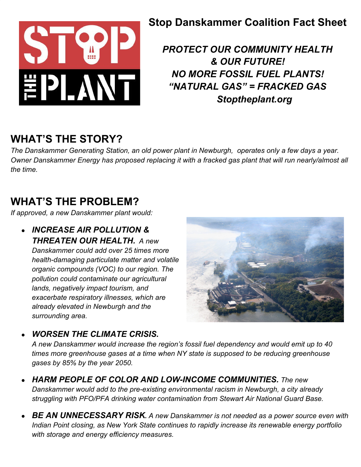

#### **Stop Danskammer Coalition Fact Sheet**

*PROTECT OUR COMMUNITY HEALTH & OUR FUTURE! NO MORE FOSSIL FUEL PLANTS! "NATURAL GAS" = FRACKED GAS Stoptheplant.org*

## **WHAT'S THE STORY?**

*The Danskammer Generating Station, an old power plant in Newburgh, operates only a few days a year. Owner Danskammer Energy has proposed replacing it with a fracked gas plant that will run nearly/almost all the time.*

## **WHAT'S THE PROBLEM?**

*If approved, a new Danskammer plant would:*

● *INCREASE AIR POLLUTION & THREATEN OUR HEALTH. A new Danskammer could add over 25 times more health-damaging particulate matter and volatile organic compounds (VOC) to our region. The pollution could contaminate our agricultural lands, negatively impact tourism, and exacerbate respiratory illnesses, which are already elevated in Newburgh and the surrounding area.*



● *WORSEN THE CLIMATE CRISIS.*

*A new Danskammer would increase the region's fossil fuel dependency and would emit up to 40 times more greenhouse gases at a time when NY state is supposed to be reducing greenhouse gases by 85% by the year 2050.*

- *HARM PEOPLE OF COLOR AND LOW-INCOME COMMUNITIES. The new Danskammer would add to the pre-existing environmental racism in Newburgh, a city already struggling with PFO/PFA drinking water contamination from Stewart Air National Guard Base.*
- *BE AN UNNECESSARY RISK. A new Danskammer is not needed as a power source even with Indian Point closing, as New York State continues to rapidly increase its renewable energy portfolio with storage and energy efficiency measures.*